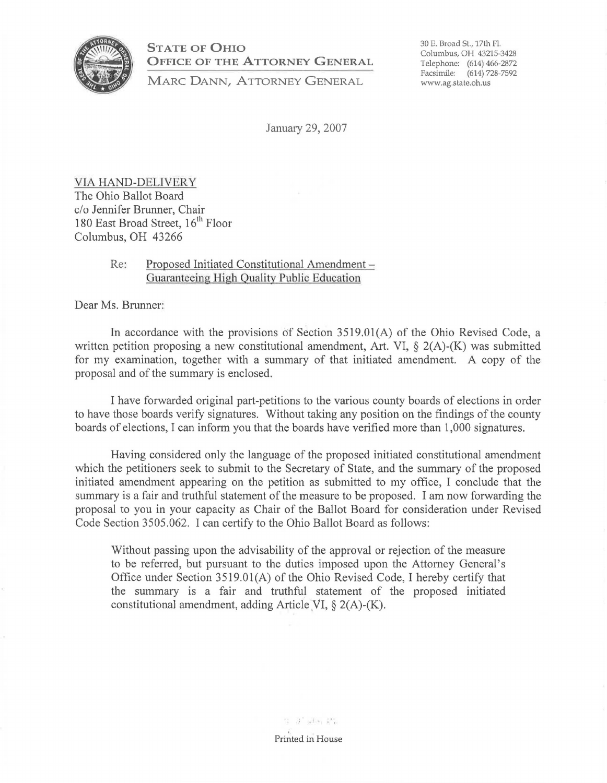

**STATE OF OHIO OFFICE OF THE ATTORNEY GENERAL** 

**MARC DANN, ATTORNEY GENERAL** 

30 E. Broad St., 17th FL Columbus, OH 43215-3428 Telephone: (614) 466-2872 Facsimile: (614) 728-7592 www.ag.state.oh.us

January 29, 2007

VIA HAND-DELIVERY The Ohio Ballot Board c/o Jennifer Brunner, Chair 180 East Broad Street, 16<sup>th</sup> Floor Columbus, OH 43266

## Re: Proposed Initiated Constitutional Amendment -Guaranteeing High Quality Public Education

Dear Ms. Brunner:

In accordance with the provisions of Section 3519.0l(A) of the Ohio Revised Code, a written petition proposing a new constitutional amendment, Art. VI, § 2(A)-(K) was submitted for my examination, together with a summary of that initiated amendment. A copy of the proposal and of the summary is enclosed.

I have forwarded original part-petitions to the various county boards of elections in order to have those boards verify signatures. Without taking any position on the findings of the county boards of elections, I can inform you that the boards have verified more than 1,000 signatures.

Having considered only the language of the proposed initiated constitutional amendment which the petitioners seek to submit to the Secretary of State, and the summary of the proposed initiated amendment appearing on the petition as submitted to my office, I conclude that the summary is a fair and truthful statement of the measure to be proposed. I am now forwarding the proposal to you in your capacity as Chair of the Ballot Board for consideration under Revised Code Section 3505.062. I can certify to the Ohio Ballot Board as follows:

Without passing upon the advisability of the approval or rejection of the measure to be referred, but pursuant to the duties imposed upon the Attorney General's Office under Section 3519.0l(A) of the Ohio Revised Code, I hereby certify that the summary is a fair and truthful statement of the proposed initiated constitutional amendment, adding Article VI,  $\S 2(A)$ -(K).